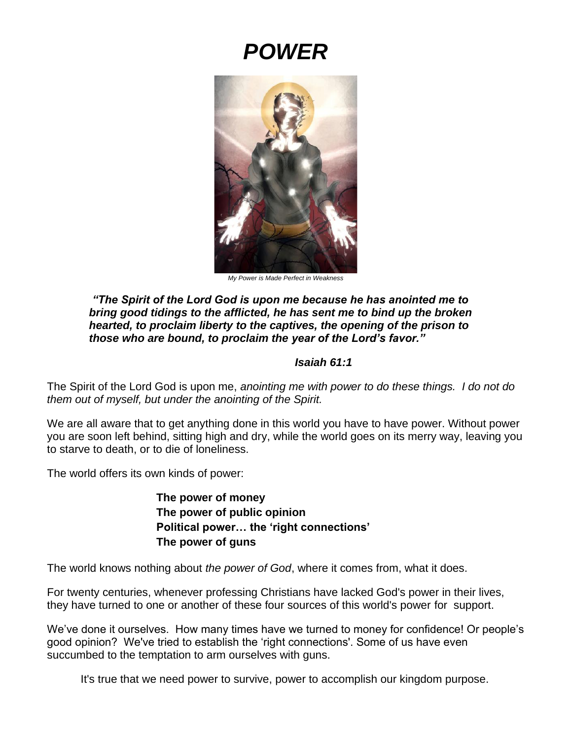# *POWER*



*My Power is Made Perfect in Weakness*

*"The Spirit of the Lord God is upon me because he has anointed me to bring good tidings to the afflicted, he has sent me to bind up the broken hearted, to proclaim liberty to the captives, the opening of the prison to those who are bound, to proclaim the year of the Lord's favor."*

#### *Isaiah 61:1*

The Spirit of the Lord God is upon me, *anointing me with power to do these things. I do not do them out of myself, but under the anointing of the Spirit.*

We are all aware that to get anything done in this world you have to have power. Without power you are soon left behind, sitting high and dry, while the world goes on its merry way, leaving you to starve to death, or to die of loneliness.

The world offers its own kinds of power:

**The power of money The power of public opinion Political power… the 'right connections' The power of guns**

The world knows nothing about *the power of God*, where it comes from, what it does.

For twenty centuries, whenever professing Christians have lacked God's power in their lives, they have turned to one or another of these four sources of this world's power for support.

We've done it ourselves. How many times have we turned to money for confidence! Or people's good opinion? We've tried to establish the 'right connections'. Some of us have even succumbed to the temptation to arm ourselves with guns.

It's true that we need power to survive, power to accomplish our kingdom purpose.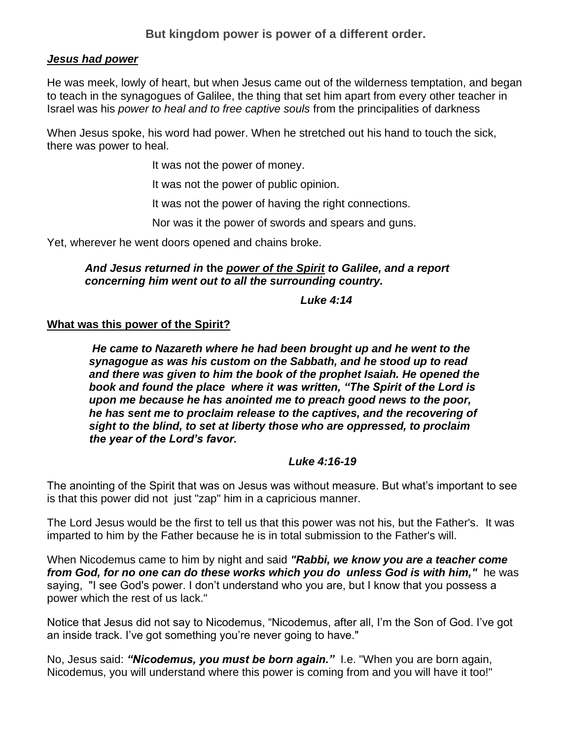**But kingdom power is power of a different order.**

#### *Jesus had power*

He was meek, lowly of heart, but when Jesus came out of the wilderness temptation, and began to teach in the synagogues of Galilee, the thing that set him apart from every other teacher in Israel was his *power to heal and to free captive souls* from the principalities of darkness

When Jesus spoke, his word had power. When he stretched out his hand to touch the sick, there was power to heal.

It was not the power of money.

It was not the power of public opinion.

It was not the power of having the right connections.

Nor was it the power of swords and spears and guns.

Yet, wherever he went doors opened and chains broke.

#### *And Jesus returned in* **the** *power of the Spirit to Galilee, and a report concerning him went out to all the surrounding country.*

#### *Luke 4:14*

#### **What was this power of the Spirit?**

*He came to Nazareth where he had been brought up and he went to the synagogue as was his custom on the Sabbath, and he stood up to read and there was given to him the book of the prophet Isaiah. He opened the book and found the place where it was written, "The Spirit of the Lord is upon me because he has anointed me to preach good news to the poor, he has sent me to proclaim release to the captives, and the recovering of sight to the blind, to set at liberty those who are oppressed, to proclaim the year of the Lord's favor.*

#### *Luke 4:16-19*

The anointing of the Spirit that was on Jesus was without measure. But what's important to see is that this power did not just "zap" him in a capricious manner.

The Lord Jesus would be the first to tell us that this power was not his, but the Father's. It was imparted to him by the Father because he is in total submission to the Father's will.

When Nicodemus came to him by night and said *"Rabbi, we know you are a teacher come from God, for no one can do these works which you do unless God is with him,"* he was saying, "I see God's power. I don't understand who you are, but I know that you possess a power which the rest of us lack."

Notice that Jesus did not say to Nicodemus, "Nicodemus, after all, I'm the Son of God. I've got an inside track. I've got something you're never going to have."

No, Jesus said: *"Nicodemus, you must be born again."* I.e. "When you are born again, Nicodemus, you will understand where this power is coming from and you will have it too!"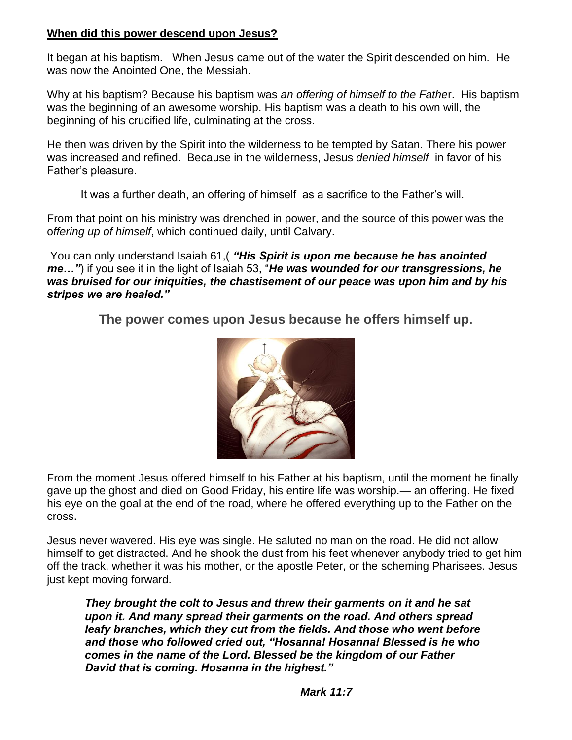## **When did this power descend upon Jesus?**

It began at his baptism. When Jesus came out of the water the Spirit descended on him. He was now the Anointed One, the Messiah.

Why at his baptism? Because his baptism was *an offering of himself to the Fathe*r. His baptism was the beginning of an awesome worship. His baptism was a death to his own will, the beginning of his crucified life, culminating at the cross.

He then was driven by the Spirit into the wilderness to be tempted by Satan. There his power was increased and refined. Because in the wilderness, Jesus *denied himself* in favor of his Father's pleasure.

It was a further death, an offering of himself as a sacrifice to the Father's will.

From that point on his ministry was drenched in power, and the source of this power was the o*ffering up of himself*, which continued daily, until Calvary.

You can only understand Isaiah 61,( *"His Spirit is upon me because he has anointed me…"*) if you see it in the light of Isaiah 53, "*He was wounded for our transgressions, he was bruised for our iniquities, the chastisement of our peace was upon him and by his stripes we are healed."*

**The power comes upon Jesus because he offers himself up.** 



From the moment Jesus offered himself to his Father at his baptism, until the moment he finally gave up the ghost and died on Good Friday, his entire life was worship.— an offering. He fixed his eye on the goal at the end of the road, where he offered everything up to the Father on the cross.

Jesus never wavered. His eye was single. He saluted no man on the road. He did not allow himself to get distracted. And he shook the dust from his feet whenever anybody tried to get him off the track, whether it was his mother, or the apostle Peter, or the scheming Pharisees. Jesus just kept moving forward.

*They brought the colt to Jesus and threw their garments on it and he sat upon it. And many spread their garments on the road. And others spread leafy branches, which they cut from the fields. And those who went before and those who followed cried out, "Hosanna! Hosanna! Blessed is he who comes in the name of the Lord. Blessed be the kingdom of our Father David that is coming. Hosanna in the highest."*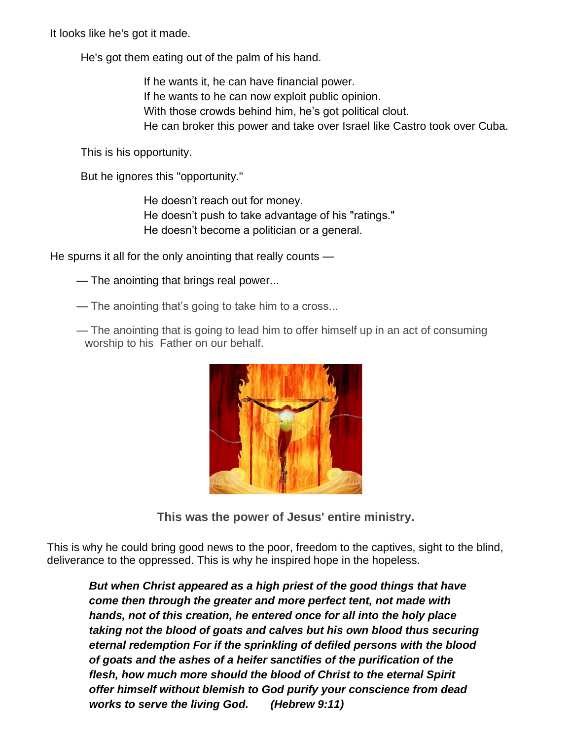It looks like he's got it made.

He's got them eating out of the palm of his hand.

If he wants it, he can have financial power. If he wants to he can now exploit public opinion. With those crowds behind him, he's got political clout. He can broker this power and take over Israel like Castro took over Cuba.

This is his opportunity.

But he ignores this "opportunity."

He doesn't reach out for money. He doesn't push to take advantage of his "ratings." He doesn't become a politician or a general.

He spurns it all for the only anointing that really counts —

- The anointing that brings real power...
- The anointing that's going to take him to a cross...
- The anointing that is going to lead him to offer himself up in an act of consuming worship to his Father on our behalf.



**This was the power of Jesus' entire ministry.** 

This is why he could bring good news to the poor, freedom to the captives, sight to the blind, deliverance to the oppressed. This is why he inspired hope in the hopeless.

*But when Christ appeared as a high priest of the good things that have come then through the greater and more perfect tent, not made with hands, not of this creation, he entered once for all into the holy place taking not the blood of goats and calves but his own blood thus securing eternal redemption For if the sprinkling of defiled persons with the blood of goats and the ashes of a heifer sanctifies of the purification of the flesh, how much more should the blood of Christ to the eternal Spirit offer himself without blemish to God purify your conscience from dead works to serve the living God. (Hebrew 9:11)*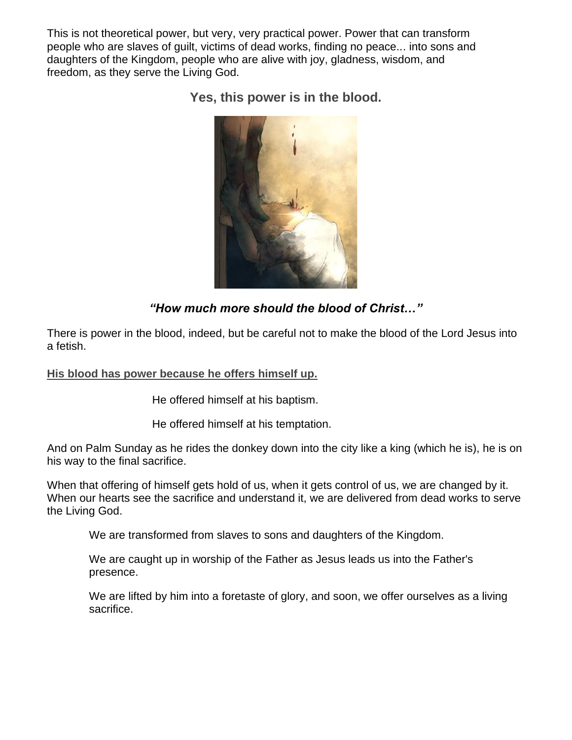This is not theoretical power, but very, very practical power. Power that can transform people who are slaves of guilt, victims of dead works, finding no peace... into sons and daughters of the Kingdom, people who are alive with joy, gladness, wisdom, and freedom, as they serve the Living God.

**Yes, this power is in the blood.** 



# *"How much more should the blood of Christ…"*

There is power in the blood, indeed, but be careful not to make the blood of the Lord Jesus into a fetish.

**His blood has power because he offers himself up.** 

He offered himself at his baptism.

He offered himself at his temptation.

And on Palm Sunday as he rides the donkey down into the city like a king (which he is), he is on his way to the final sacrifice.

When that offering of himself gets hold of us, when it gets control of us, we are changed by it. When our hearts see the sacrifice and understand it, we are delivered from dead works to serve the Living God.

We are transformed from slaves to sons and daughters of the Kingdom.

We are caught up in worship of the Father as Jesus leads us into the Father's presence.

We are lifted by him into a foretaste of glory, and soon, we offer ourselves as a living sacrifice.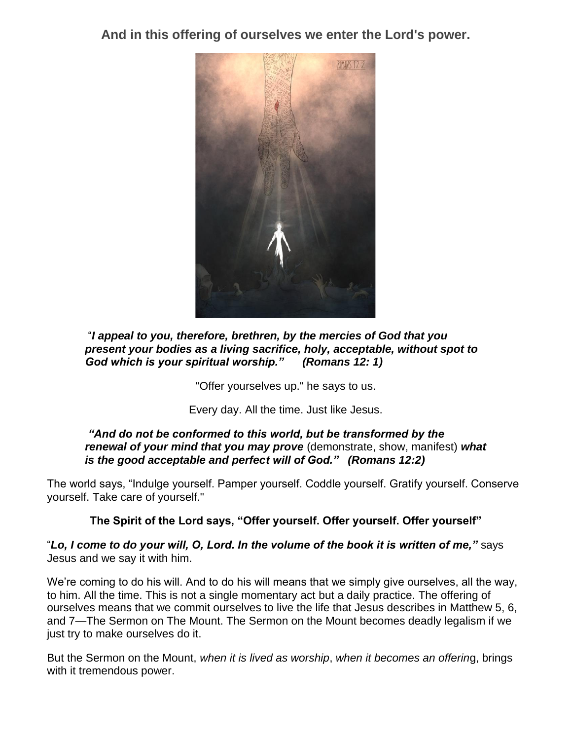**And in this offering of ourselves we enter the Lord's power.** 



"*I appeal to you, therefore, brethren, by the mercies of God that you present your bodies as a living sacrifice, holy, acceptable, without spot to God which is your spiritual worship." (Romans 12: 1)*

"Offer yourselves up." he says to us.

Every day. All the time. Just like Jesus.

#### *"And do not be conformed to this world, but be transformed by the renewal of your mind that you may prove* (demonstrate, show, manifest) *what is the good acceptable and perfect will of God." (Romans 12:2)*

The world says, "Indulge yourself. Pamper yourself. Coddle yourself. Gratify yourself. Conserve yourself. Take care of yourself."

#### **The Spirit of the Lord says, "Offer yourself. Offer yourself. Offer yourself"**

"*Lo, I come to do your will, O, Lord. In the volume of the book it is written of me,"* says Jesus and we say it with him.

We're coming to do his will. And to do his will means that we simply give ourselves, all the way, to him. All the time. This is not a single momentary act but a daily practice. The offering of ourselves means that we commit ourselves to live the life that Jesus describes in Matthew 5, 6, and 7—The Sermon on The Mount. The Sermon on the Mount becomes deadly legalism if we just try to make ourselves do it.

But the Sermon on the Mount, *when it is lived as worship*, *when it becomes an offerin*g, brings with it tremendous power.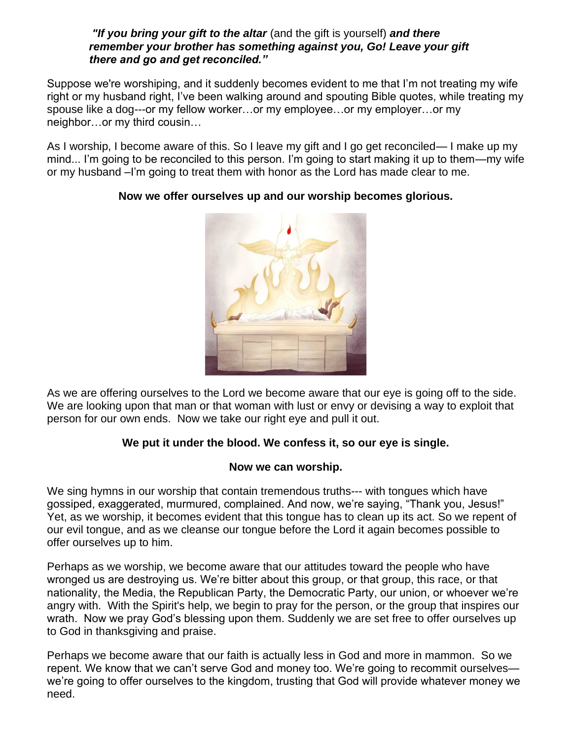#### *"If you bring your gift to the altar* (and the gift is yourself) *and there remember your brother has something against you, Go! Leave your gift there and go and get reconciled."*

Suppose we're worshiping, and it suddenly becomes evident to me that I'm not treating my wife right or my husband right, I've been walking around and spouting Bible quotes, while treating my spouse like a dog---or my fellow worker…or my employee…or my employer…or my neighbor…or my third cousin…

As I worship, I become aware of this. So I leave my gift and I go get reconciled— I make up my mind... I'm going to be reconciled to this person. I'm going to start making it up to them—my wife or my husband –I'm going to treat them with honor as the Lord has made clear to me.



#### **Now we offer ourselves up and our worship becomes glorious.**

As we are offering ourselves to the Lord we become aware that our eye is going off to the side. We are looking upon that man or that woman with lust or envy or devising a way to exploit that person for our own ends. Now we take our right eye and pull it out.

# **We put it under the blood. We confess it, so our eye is single.**

#### **Now we can worship.**

We sing hymns in our worship that contain tremendous truths--- with tongues which have gossiped, exaggerated, murmured, complained. And now, we're saying, "Thank you, Jesus!" Yet, as we worship, it becomes evident that this tongue has to clean up its act. So we repent of our evil tongue, and as we cleanse our tongue before the Lord it again becomes possible to offer ourselves up to him.

Perhaps as we worship, we become aware that our attitudes toward the people who have wronged us are destroying us. We're bitter about this group, or that group, this race, or that nationality, the Media, the Republican Party, the Democratic Party, our union, or whoever we're angry with. With the Spirit's help, we begin to pray for the person, or the group that inspires our wrath. Now we pray God's blessing upon them. Suddenly we are set free to offer ourselves up to God in thanksgiving and praise.

Perhaps we become aware that our faith is actually less in God and more in mammon. So we repent. We know that we can't serve God and money too. We're going to recommit ourselves we're going to offer ourselves to the kingdom, trusting that God will provide whatever money we need.